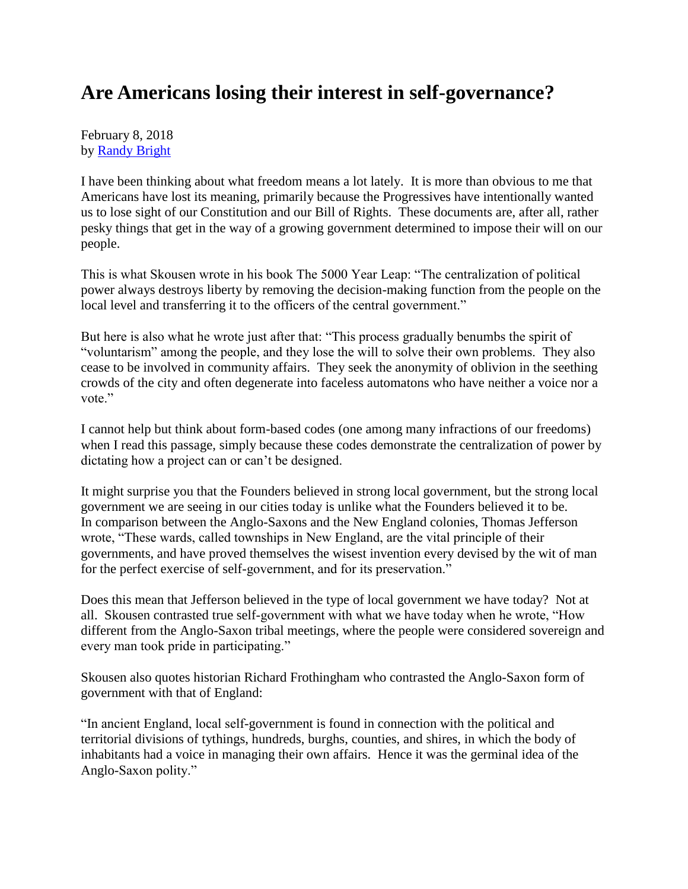## **Are Americans losing their interest in self-governance?**

February 8, 2018 by [Randy Bright](http://tulsabeacon.com/writers/randy-bright/)

I have been thinking about what freedom means a lot lately. It is more than obvious to me that Americans have lost its meaning, primarily because the Progressives have intentionally wanted us to lose sight of our Constitution and our Bill of Rights. These documents are, after all, rather pesky things that get in the way of a growing government determined to impose their will on our people.

This is what Skousen wrote in his book The 5000 Year Leap: "The centralization of political power always destroys liberty by removing the decision-making function from the people on the local level and transferring it to the officers of the central government."

But here is also what he wrote just after that: "This process gradually benumbs the spirit of "voluntarism" among the people, and they lose the will to solve their own problems. They also cease to be involved in community affairs. They seek the anonymity of oblivion in the seething crowds of the city and often degenerate into faceless automatons who have neither a voice nor a vote."

I cannot help but think about form-based codes (one among many infractions of our freedoms) when I read this passage, simply because these codes demonstrate the centralization of power by dictating how a project can or can't be designed.

It might surprise you that the Founders believed in strong local government, but the strong local government we are seeing in our cities today is unlike what the Founders believed it to be. In comparison between the Anglo-Saxons and the New England colonies, Thomas Jefferson wrote, "These wards, called townships in New England, are the vital principle of their governments, and have proved themselves the wisest invention every devised by the wit of man for the perfect exercise of self-government, and for its preservation."

Does this mean that Jefferson believed in the type of local government we have today? Not at all. Skousen contrasted true self-government with what we have today when he wrote, "How different from the Anglo-Saxon tribal meetings, where the people were considered sovereign and every man took pride in participating."

Skousen also quotes historian Richard Frothingham who contrasted the Anglo-Saxon form of government with that of England:

"In ancient England, local self-government is found in connection with the political and territorial divisions of tythings, hundreds, burghs, counties, and shires, in which the body of inhabitants had a voice in managing their own affairs. Hence it was the germinal idea of the Anglo-Saxon polity."